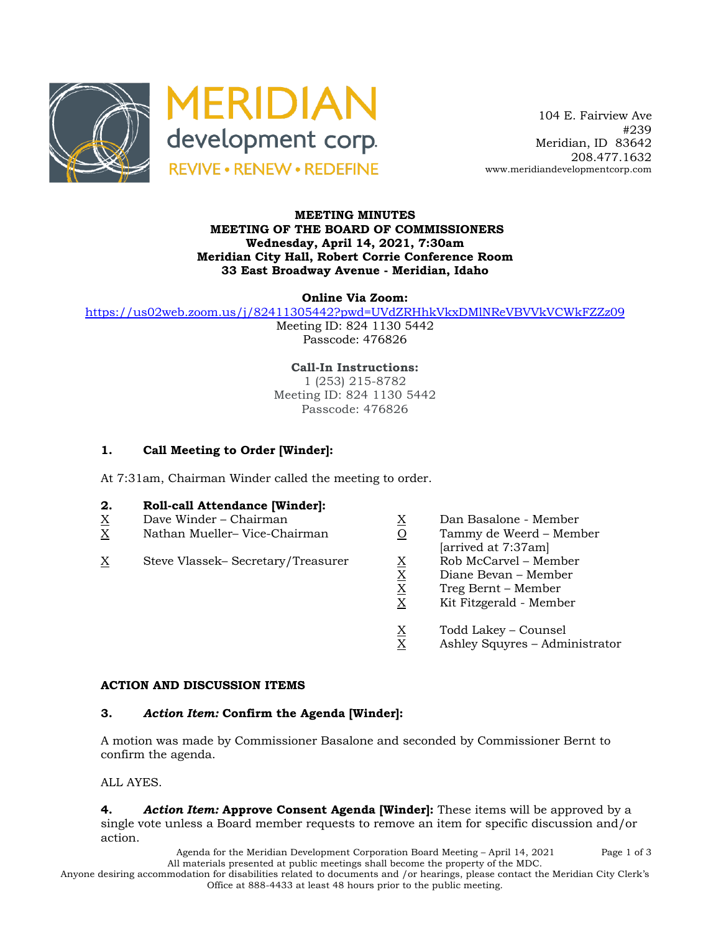



 104 E. Fairview Ave #239 Meridian, ID 83642 208.477.1632 www.meridiandevelopmentcorp.com

#### **MEETING MINUTES MEETING OF THE BOARD OF COMMISSIONERS Wednesday, April 14, 2021, 7:30am Meridian City Hall, Robert Corrie Conference Room 33 East Broadway Avenue - Meridian, Idaho**

**Online Via Zoom:** 

https://us02web.zoom.us/j/82411305442?pwd=UVdZRHhkVkxDMlNReVBVVkVCWkFZZz09

Meeting ID: 824 1130 5442 Passcode: 476826

**Call-In Instructions:** 1 (253) 215-8782 Meeting ID: 824 1130 5442 Passcode: 476826

# **1. Call Meeting to Order [Winder]:**

At 7:31am, Chairman Winder called the meeting to order.

### **2. Roll-call Attendance [Winder]:**

- $X$  Dave Winder Chairman  $X$  Dan Basalone Member  $X$  Dan Basalone Member  $X$  Nathan Mueller– Vice-Chairman  $X$  O Tammy de Weerd Mem
- X Nathan Mueller– Vice-Chairman O Tammy de Weerd Member
- $\begin{array}{lll} \underline{X} & \text{Steve Vlassek- Secretary/Treasure} & \underline{X} & \text{Rob McCarvel Member} \\ & \underline{X} & \text{Diane Bevan Member} \\ & \underline{X} & \text{Treg Bernt Member} \\ & \underline{X} & \text{Kit Fitzgerald Member} \end{array}$
- 
- 
- [arrived at 7:37am]
	-
	- Diane Bevan Member
	- X Treg Bernt Member
	- X Kit Fitzgerald Member
	- $\frac{X}{X}$  Todd Lakey Counsel<br>X Ashley Squyres Adm
	- Ashley Squyres Administrator

### **ACTION AND DISCUSSION ITEMS**

### **3.** *Action Item:* **Confirm the Agenda [Winder]:**

A motion was made by Commissioner Basalone and seconded by Commissioner Bernt to confirm the agenda.

ALL AYES.

**4.** *Action Item:* **Approve Consent Agenda [Winder]:** These items will be approved by a single vote unless a Board member requests to remove an item for specific discussion and/or action.

> Agenda for the Meridian Development Corporation Board Meeting – April 14, 2021 Page 1 of 3 All materials presented at public meetings shall become the property of the MDC.

Anyone desiring accommodation for disabilities related to documents and /or hearings, please contact the Meridian City Clerk's Office at 888-4433 at least 48 hours prior to the public meeting.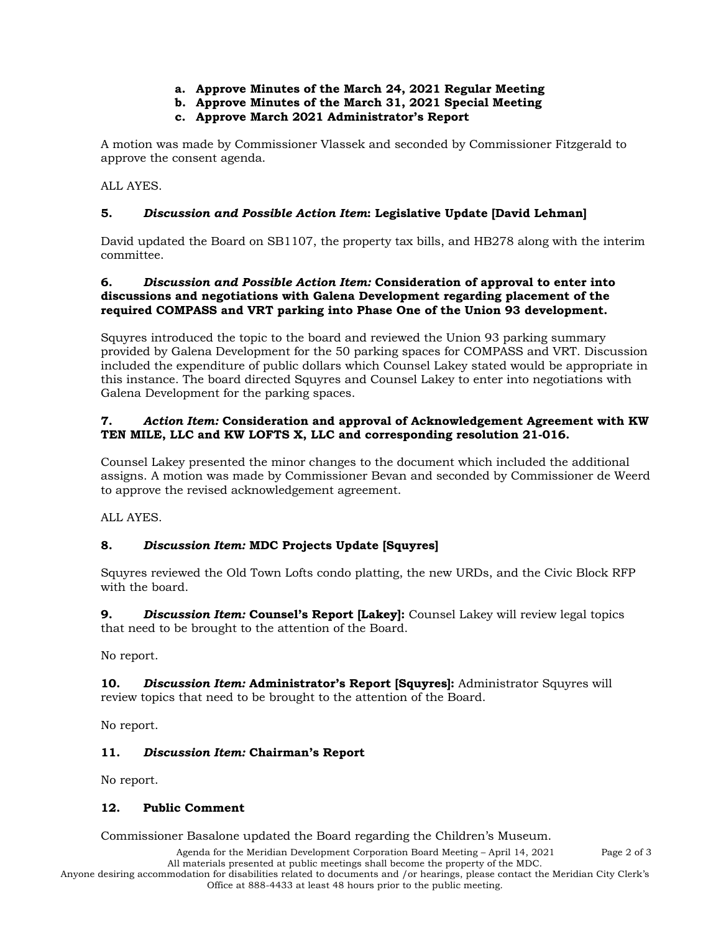- **a. Approve Minutes of the March 24, 2021 Regular Meeting**
- **b. Approve Minutes of the March 31, 2021 Special Meeting**
- **c. Approve March 2021 Administrator's Report**

A motion was made by Commissioner Vlassek and seconded by Commissioner Fitzgerald to approve the consent agenda.

ALL AYES.

# **5.** *Discussion and Possible Action Item***: Legislative Update [David Lehman]**

David updated the Board on SB1107, the property tax bills, and HB278 along with the interim committee.

# **6.** *Discussion and Possible Action Item:* **Consideration of approval to enter into discussions and negotiations with Galena Development regarding placement of the required COMPASS and VRT parking into Phase One of the Union 93 development.**

Squyres introduced the topic to the board and reviewed the Union 93 parking summary provided by Galena Development for the 50 parking spaces for COMPASS and VRT. Discussion included the expenditure of public dollars which Counsel Lakey stated would be appropriate in this instance. The board directed Squyres and Counsel Lakey to enter into negotiations with Galena Development for the parking spaces.

### **7.** *Action Item:* **Consideration and approval of Acknowledgement Agreement with KW TEN MILE, LLC and KW LOFTS X, LLC and corresponding resolution 21-016.**

Counsel Lakey presented the minor changes to the document which included the additional assigns. A motion was made by Commissioner Bevan and seconded by Commissioner de Weerd to approve the revised acknowledgement agreement.

ALL AYES.

# **8.** *Discussion Item:* **MDC Projects Update [Squyres]**

Squyres reviewed the Old Town Lofts condo platting, the new URDs, and the Civic Block RFP with the board.

**9.** *Discussion Item:* **Counsel's Report [Lakey]:** Counsel Lakey will review legal topics that need to be brought to the attention of the Board.

No report.

**10.** *Discussion Item:* **Administrator's Report [Squyres]:** Administrator Squyres will review topics that need to be brought to the attention of the Board.

No report.

# **11.** *Discussion Item:* **Chairman's Report**

No report.

### **12. Public Comment**

Commissioner Basalone updated the Board regarding the Children's Museum.

Agenda for the Meridian Development Corporation Board Meeting – April 14, 2021 Page 2 of 3 All materials presented at public meetings shall become the property of the MDC.

Anyone desiring accommodation for disabilities related to documents and /or hearings, please contact the Meridian City Clerk's Office at 888-4433 at least 48 hours prior to the public meeting.